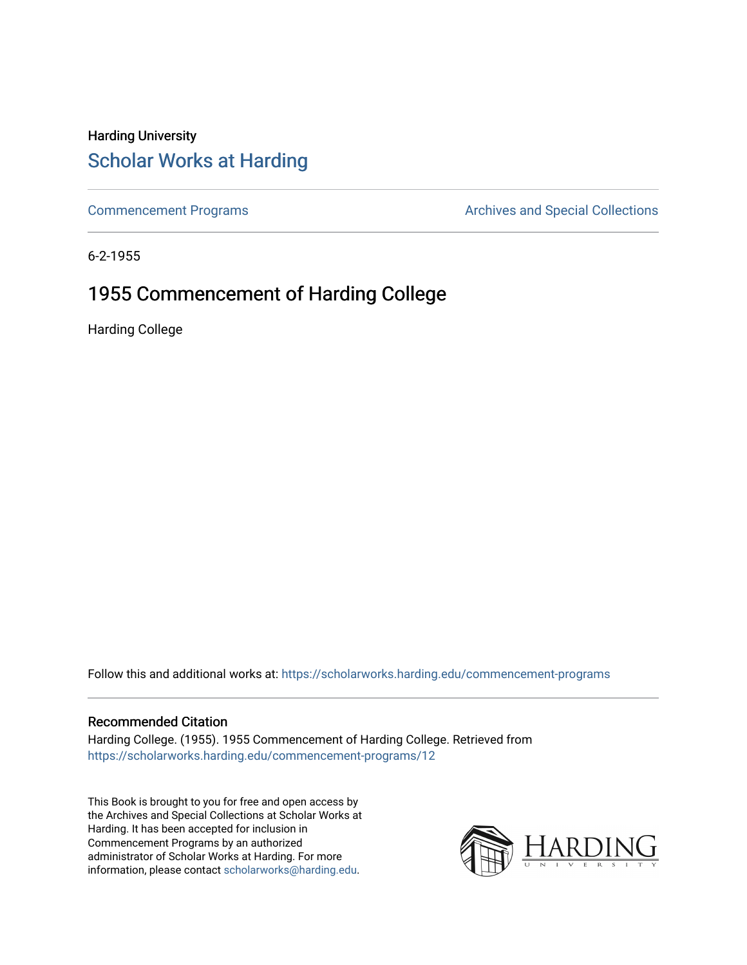## Harding University [Scholar Works at Harding](https://scholarworks.harding.edu/)

[Commencement Programs](https://scholarworks.harding.edu/commencement-programs) **Archives and Special Collections** Archives and Special Collections

6-2-1955

## 1955 Commencement of Harding College

Harding College

Follow this and additional works at: [https://scholarworks.harding.edu/commencement-programs](https://scholarworks.harding.edu/commencement-programs?utm_source=scholarworks.harding.edu%2Fcommencement-programs%2F12&utm_medium=PDF&utm_campaign=PDFCoverPages)

### Recommended Citation

Harding College. (1955). 1955 Commencement of Harding College. Retrieved from [https://scholarworks.harding.edu/commencement-programs/12](https://scholarworks.harding.edu/commencement-programs/12?utm_source=scholarworks.harding.edu%2Fcommencement-programs%2F12&utm_medium=PDF&utm_campaign=PDFCoverPages) 

This Book is brought to you for free and open access by the Archives and Special Collections at Scholar Works at Harding. It has been accepted for inclusion in Commencement Programs by an authorized administrator of Scholar Works at Harding. For more information, please contact [scholarworks@harding.edu.](mailto:scholarworks@harding.edu)

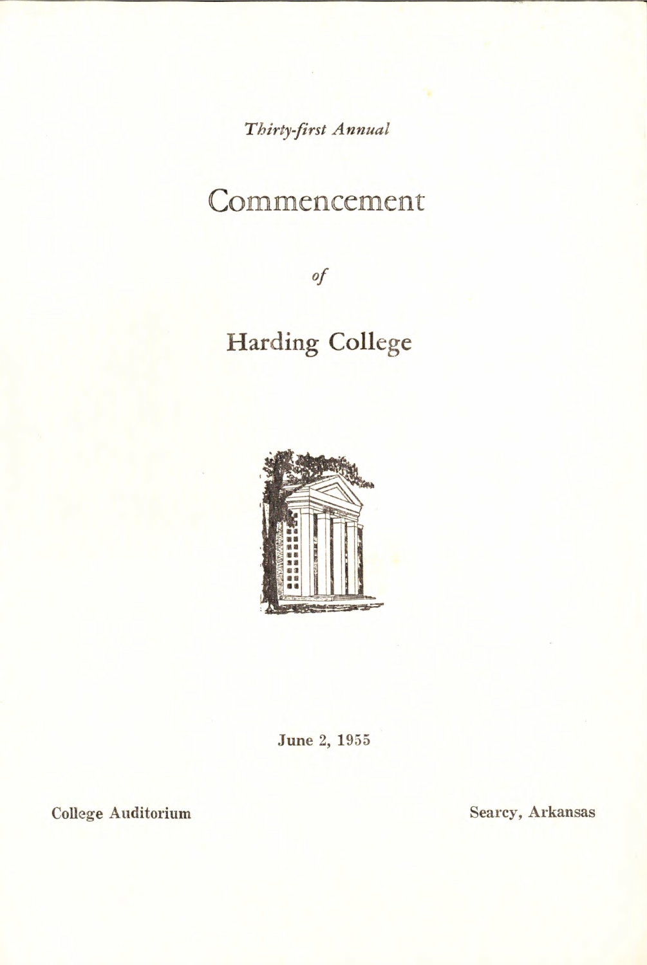*Thirty-first Annual* 

# Commencement

*of* 

# **Harding College**



**June 2, 1955** 

**College Auditorium Searcy, Arkansas**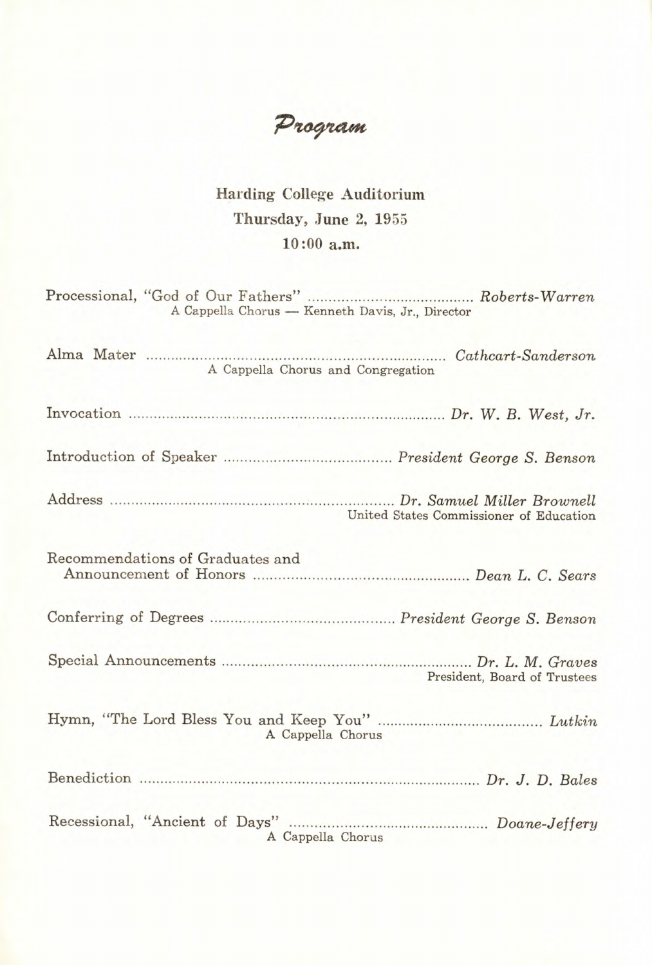Program

### Harding College Auditorium Thursday, **June** 2, 1955 10:00 **a.m.**

Processional, "God of Our Fathers" .. .. .... .. .... ... .... .. .. ............... *Roberts-Warren*  A Cappella Chorus — Kenneth Davis, Jr., Director

| A Cappella Chorus and Congregation      |
|-----------------------------------------|
|                                         |
|                                         |
| United States Commissioner of Education |
| Recommendations of Graduates and        |
|                                         |
| President, Board of Trustees            |
| A Cappella Chorus                       |
|                                         |
| A Cappella Chorus                       |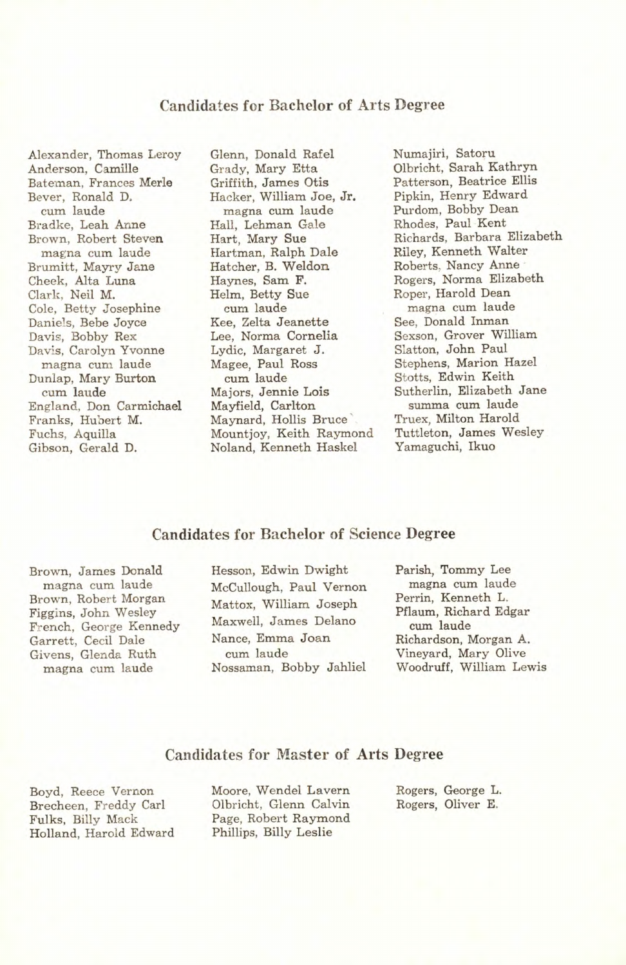#### **Candidates for Bachelor of Arts Degree**

Alexander, Thomas Leroy Anderson, Camille Bateman, Frances Merle Bever, Ronald D. cum laude Bradke, Leah Anne Brown, Robert Steven magna cum laude Brumitt, Mayry Jane Cheek, Alta Luna Clark, Neil M. Cole, Betty Josephine Daniels, Bebe Joyce Davis, Bobby Rex Davis, Carolyn Yvonne magna cum laude Dunlap, Mary Burton. cum laude England, Don Carmichael Franks, Hubert M. Fuchs, Aquilla Gibson, Gerald D.

Glenn, Donald Rafel Grady, Mary Etta Griffith, James Otis Hacker, William Joe, Jr. magna cum laude Hall, Lehman Gale Hart, Mary Sue Hartman, Ralph Dale Hatcher, B. Weldon Haynes, Sam F. Helm, Betty Sue cum laude Kee, Zelta Jeanette Lee, Norma Cornelia Lydic, Margaret J. Magee, Paul Ross cum laude Majors, Jennie Lois Mayfield, Carlton Maynard, Hollis Bruce Mountjoy, Keith Raymond Noland, Kenneth Haskel

Numajiri, Satoru Olbricht, Sarah Kathryn Patterson, Beatrice Ellis Pipkin, Henry Edward Purdom, Bobby Dean Rhodes, Paul Kent Richards, Barbara Elizabeth Riley, Kenneth Walter Roberts, Nancy Anne Rogers, Norma Elizabeth Roper, Harold Dean magna cum laude See. Donald Inman Sexson, Grover William Slatton, John Paul Stephens, Marion Hazel Stotts, Edwin Keith Sutherlin, Elizabeth Jane summa cum laude Truex, Milton Harold Tuttleton, James Wesley Yamaguchi, Ikuo

#### **Candidates for Bachelor of Science Degree**

Brown, James Donald magna cum laude Brown, Robert Morgan Figgins, John Wesley French, George Kennedy Garrett, Cecil Dale Givens, Glenda Ruth magna cum laude

Hesson, Edwin Dwight McCullough, Paul Vernon Mattox, William Joseph Maxwell, James Delano Nance, Emma Joan cum laude Nossaman, Bobby Jahliel

Parish, Tommy Lee magna cum laude Perrin, Kenneth L. Pflaum, Richard Edgar cum laude Richardson, Morgan A. Vineyard, Mary Olive Woodruff, William Lewis

#### **Candidates for Master of Arts Degree**

Boyd, Reece Vernon Brecheen, Freddy Carl Fulks, Billy Mack Holland, Harold Edward Moore, Wendel Lavern Olbricht, Glenn Calvin Page, Robert Raymond Phillips, Billy Leslie

Rogers, George L. Rogers, Oliver E.